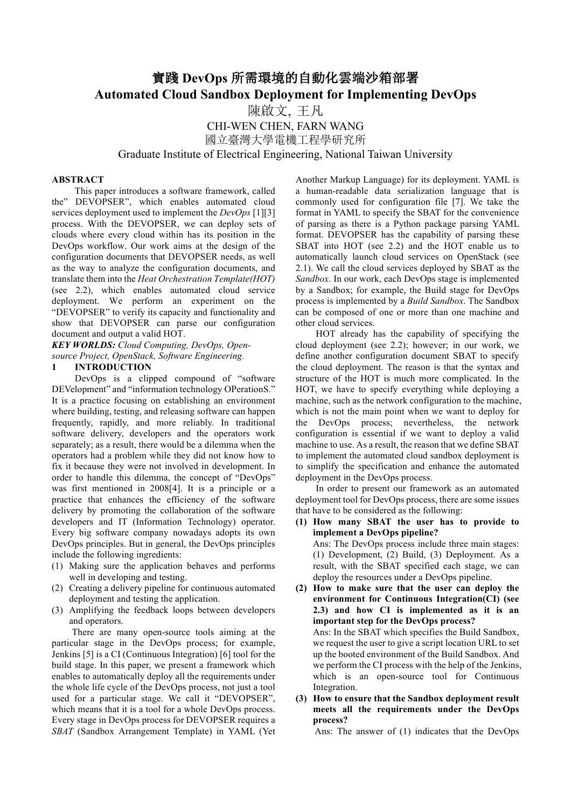# 實踐 **DevOps** 所需環境的自動化雲端沙箱部署 **Automated Cloud Sandbox Deployment for Implementing DevOps**

陳啟文, 王凡 CHI-WEN CHEN, FARN WANG 國立臺灣大學電機工程學研究所

Graduate Institute of Electrical Engineering, National Taiwan University

#### **ABSTRACT**

This paper introduces a software framework, called the" DEVOPSER", which enables automated cloud services deployment used to implement the *DevOps* [1][3] process. With the DEVOPSER, we can deploy sets of clouds where every cloud within has its position in the DevOps workflow. Our work aims at the design of the configuration documents that DEVOPSER needs, as well as the way to analyze the configuration documents, and translate them into the *Heat Orchestration Template(HOT)* (see 2.2), which enables automated cloud service deployment. We perform an experiment on the "DEVOPSER" to verify its capacity and functionality and show that DEVOPSER can parse our configuration document and output a valid HOT.

*KEY WORLDS: Cloud Computing, DevOps, Opensource Project, OpenStack, Software Engineering.*

#### **1 INTRODUCTION**

DevOps is a clipped compound of "software DEVelopment" and "information technology OPerationS." It is a practice focusing on establishing an environment where building, testing, and releasing software can happen frequently, rapidly, and more reliably. In traditional software delivery, developers and the operators work separately; as a result, there would be a dilemma when the operators had a problem while they did not know how to fix it because they were not involved in development. In order to handle this dilemma, the concept of "DevOps" was first mentioned in 2008[4]. It is a principle or a practice that enhances the efficiency of the software delivery by promoting the collaboration of the software developers and IT (Information Technology) operator. Every big software company nowadays adopts its own DevOps principles. But in general, the DevOps principles include the following ingredients:

- (1) Making sure the application behaves and performs well in developing and testing.
- (2) Creating a delivery pipeline for continuous automated deployment and testing the application.
- (3) Amplifying the feedback loops between developers and operators.

There are many open-source tools aiming at the particular stage in the DevOps process; for example, Jenkins [5] is a CI (Continuous Integration) [6] tool for the build stage. In this paper, we present a framework which enables to automatically deploy all the requirements under the whole life cycle of the DevOps process, not just a tool used for a particular stage. We call it "DEVOPSER", which means that it is a tool for a whole DevOps process. Every stage in DevOps process for DEVOPSER requires a *SBAT* (Sandbox Arrangement Template) in YAML (Yet

Another Markup Language) for its deployment. YAML is a human-readable data serialization language that is commonly used for configuration file [7]. We take the format in YAML to specify the SBAT for the convenience of parsing as there is a Python package parsing YAML format. DEVOPSER has the capability of parsing these SBAT into HOT (see 2.2) and the HOT enable us to automatically launch cloud services on OpenStack (see 2.1). We call the cloud services deployed by SBAT as the *Sandbox*. In our work, each DevOps stage is implemented by a Sandbox; for example, the Build stage for DevOps process is implemented by a *Build Sandbox*. The Sandbox can be composed of one or more than one machine and other cloud services.

HOT already has the capability of specifying the cloud deployment (see 2.2); however; in our work, we define another configuration document SBAT to specify the cloud deployment. The reason is that the syntax and structure of the HOT is much more complicated. In the HOT, we have to specify everything while deploying a machine, such as the network configuration to the machine, which is not the main point when we want to deploy for the DevOps process; nevertheless, the network configuration is essential if we want to deploy a valid machine to use. As a result, the reason that we define SBAT to implement the automated cloud sandbox deployment is to simplify the specification and enhance the automated deployment in the DevOps process.

In order to present our framework as an automated deployment tool for DevOps process, there are some issues that have to be considered as the following:

**(1) How many SBAT the user has to provide to implement a DevOps pipeline?** Ans: The DevOps process include three main stages: (1) Development, (2) Build, (3) Deployment. As a result, with the SBAT specified each stage, we can deploy the resources under a DevOps pipeline. **(2) How to make sure that the user can deploy the environment for Continuous Integration(CI) (see 2.3) and how CI is implemented as it is an**

**important step for the DevOps process?** Ans: In the SBAT which specifies the Build Sandbox, we request the user to give a script location URL to set up the booted environment of the Build Sandbox. And we perform the CI process with the help of the Jenkins, which is an open-source tool for Continuous Integration.

**(3) How to ensure that the Sandbox deployment result meets all the requirements under the DevOps process?**

Ans: The answer of (1) indicates that the DevOps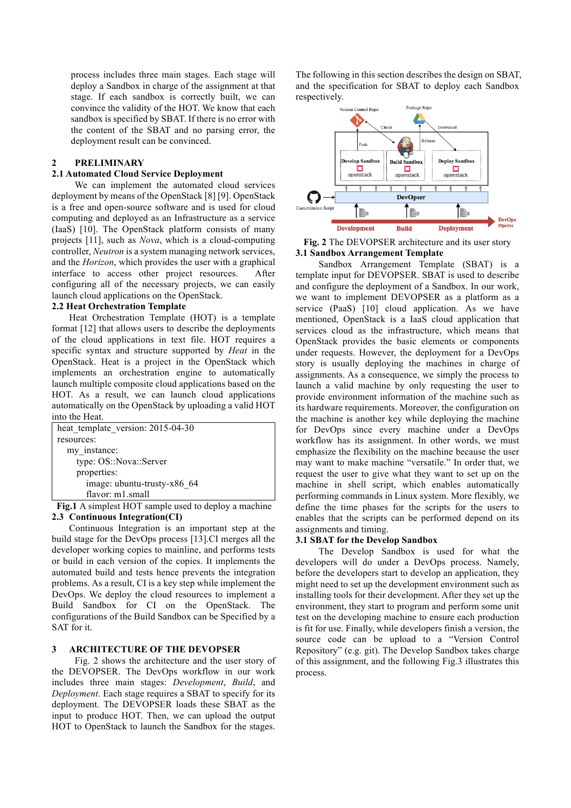process includes three main stages. Each stage will deploy a Sandbox in charge of the assignment at that stage. If each sandbox is correctly built, we can convince the validity of the HOT. We know that each sandbox is specified by SBAT. If there is no error with the content of the SBAT and no parsing error, the deployment result can be convinced.

# **2 PRELIMINARY**

### **2.1 Automated Cloud Service Deployment**

We can implement the automated cloud services deployment by means of the OpenStack [8] [9]. OpenStack is a free and open-source software and is used for cloud computing and deployed as an Infrastructure as a service (IaaS) [10]. The OpenStack platform consists of many projects [11], such as *Nova*, which is a cloud-computing controller, *Neutron* is a system managing network services, and the *Horizon*, which provides the user with a graphical interface to access other project resources. After configuring all of the necessary projects, we can easily launch cloud applications on the OpenStack.

# **2.2 Heat Orchestration Template**

Heat Orchestration Template (HOT) is a template format [12] that allows users to describe the deployments of the cloud applications in text file. HOT requires a specific syntax and structure supported by *Heat* in the OpenStack. Heat is a project in the OpenStack which implements an orchestration engine to automatically launch multiple composite cloud applications based on the HOT. As a result, we can launch cloud applications automatically on the OpenStack by uploading a valid HOT into the Heat.

| heat template version: 2015-04-30 |
|-----------------------------------|
| resources:                        |
| my instance:                      |
| type: OS::Nova::Server            |
| properties:                       |
| image: ubuntu-trusty-x86 64       |
| flavor: m1.small                  |

**Fig.1** A simplest HOT sample used to deploy a machine **2.3 Continuous Integration(CI)**

Continuous Integration is an important step at the build stage for the DevOps process [13].CI merges all the developer working copies to mainline, and performs tests or build in each version of the copies. It implements the automated build and tests hence prevents the integration problems. As a result, CI is a key step while implement the DevOps. We deploy the cloud resources to implement a Build Sandbox for CI on the OpenStack. The configurations of the Build Sandbox can be Specified by a SAT for it.

# **3 ARCHITECTURE OF THE DEVOPSER**

Fig. 2 shows the architecture and the user story of the DEVOPSER. The DevOps workflow in our work includes three main stages: *Development*, *Build*, and *Deployment*. Each stage requires a SBAT to specify for its deployment. The DEVOPSER loads these SBAT as the input to produce HOT. Then, we can upload the output HOT to OpenStack to launch the Sandbox for the stages.

The following in this section describes the design on SBAT, and the specification for SBAT to deploy each Sandbox respectively.



**Fig. 2** The DEVOPSER architecture and its user story **3.1 Sandbox Arrangement Template**

Sandbox Arrangement Template (SBAT) is a template input for DEVOPSER. SBAT is used to describe and configure the deployment of a Sandbox. In our work, we want to implement DEVOPSER as a platform as a service (PaaS) [10] cloud application. As we have mentioned, OpenStack is a IaaS cloud application that services cloud as the infrastructure, which means that OpenStack provides the basic elements or components under requests. However, the deployment for a DevOps story is usually deploying the machines in charge of assignments. As a consequence, we simply the process to launch a valid machine by only requesting the user to provide environment information of the machine such as its hardware requirements. Moreover, the configuration on the machine is another key while deploying the machine for DevOps since every machine under a DevOps workflow has its assignment. In other words, we must emphasize the flexibility on the machine because the user may want to make machine "versatile." In order that, we request the user to give what they want to set up on the machine in shell script, which enables automatically performing commands in Linux system. More flexibly, we define the time phases for the scripts for the users to enables that the scripts can be performed depend on its assignments and timing.

# **3.1 SBAT for the Develop Sandbox**

The Develop Sandbox is used for what the developers will do under a DevOps process. Namely, before the developers start to develop an application, they might need to set up the development environment such as installing tools for their development. After they set up the environment, they start to program and perform some unit test on the developing machine to ensure each production is fit for use. Finally, while developers finish a version, the source code can be upload to a "Version Control Repository" (e.g. git). The Develop Sandbox takes charge of this assignment, and the following Fig.3 illustrates this process.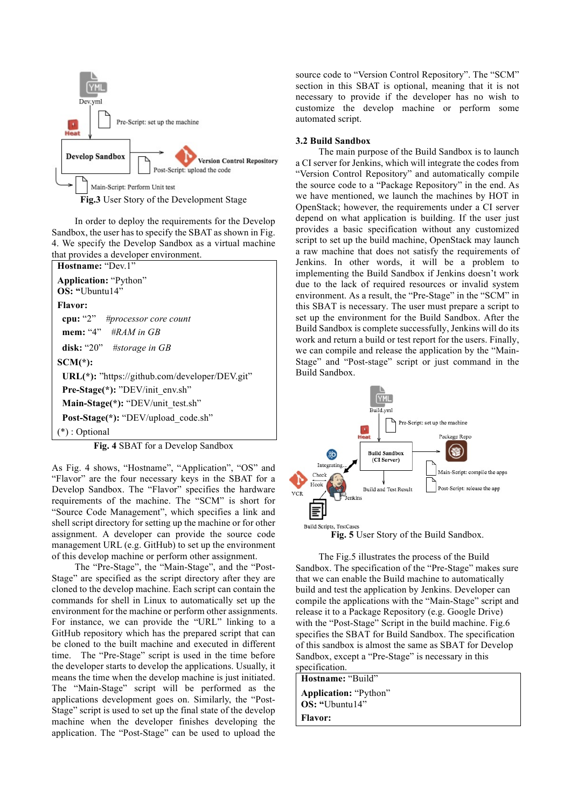

In order to deploy the requirements for the Develop Sandbox, the user has to specify the SBAT as shown in Fig. 4. We specify the Develop Sandbox as a virtual machine that provides a developer environment.



**Fig. 4** SBAT for a Develop Sandbox

As Fig. 4 shows, "Hostname", "Application", "OS" and "Flavor" are the four necessary keys in the SBAT for a Develop Sandbox. The "Flavor" specifies the hardware requirements of the machine. The "SCM" is short for "Source Code Management", which specifies a link and shell script directory for setting up the machine or for other assignment. A developer can provide the source code management URL (e.g. GitHub) to set up the environment of this develop machine or perform other assignment.

The "Pre-Stage", the "Main-Stage", and the "Post-Stage" are specified as the script directory after they are cloned to the develop machine. Each script can contain the commands for shell in Linux to automatically set up the environment for the machine or perform other assignments. For instance, we can provide the "URL" linking to a GitHub repository which has the prepared script that can be cloned to the built machine and executed in different time. The "Pre-Stage" script is used in the time before the developer starts to develop the applications. Usually, it means the time when the develop machine is just initiated. The "Main-Stage" script will be performed as the applications development goes on. Similarly, the "Post-Stage" script is used to set up the final state of the develop machine when the developer finishes developing the application. The "Post-Stage" can be used to upload the

source code to "Version Control Repository". The "SCM" section in this SBAT is optional, meaning that it is not necessary to provide if the developer has no wish to customize the develop machine or perform some automated script.

# **3.2 Build Sandbox**

The main purpose of the Build Sandbox is to launch a CI server for Jenkins, which will integrate the codes from "Version Control Repository" and automatically compile the source code to a "Package Repository" in the end. As we have mentioned, we launch the machines by HOT in OpenStack; however, the requirements under a CI server depend on what application is building. If the user just provides a basic specification without any customized script to set up the build machine, OpenStack may launch a raw machine that does not satisfy the requirements of Jenkins. In other words, it will be a problem to implementing the Build Sandbox if Jenkins doesn't work due to the lack of required resources or invalid system environment. As a result, the "Pre-Stage" in the "SCM" in this SBAT is necessary. The user must prepare a script to set up the environment for the Build Sandbox. After the Build Sandbox is complete successfully, Jenkins will do its work and return a build or test report for the users. Finally, we can compile and release the application by the "Main-Stage" and "Post-stage" script or just command in the Build Sandbox.



**Fig. 5** User Story of the Build Sandbox.

The Fig.5 illustrates the process of the Build Sandbox. The specification of the "Pre-Stage" makes sure that we can enable the Build machine to automatically build and test the application by Jenkins. Developer can compile the applications with the "Main-Stage" script and release it to a Package Repository (e.g. Google Drive) with the "Post-Stage" Script in the build machine. Fig.6 specifies the SBAT for Build Sandbox. The specification of this sandbox is almost the same as SBAT for Develop Sandbox, except a "Pre-Stage" is necessary in this specification.

**Hostname:** "Build" **Application:** "Python" **OS: "**Ubuntu14" **Flavor:**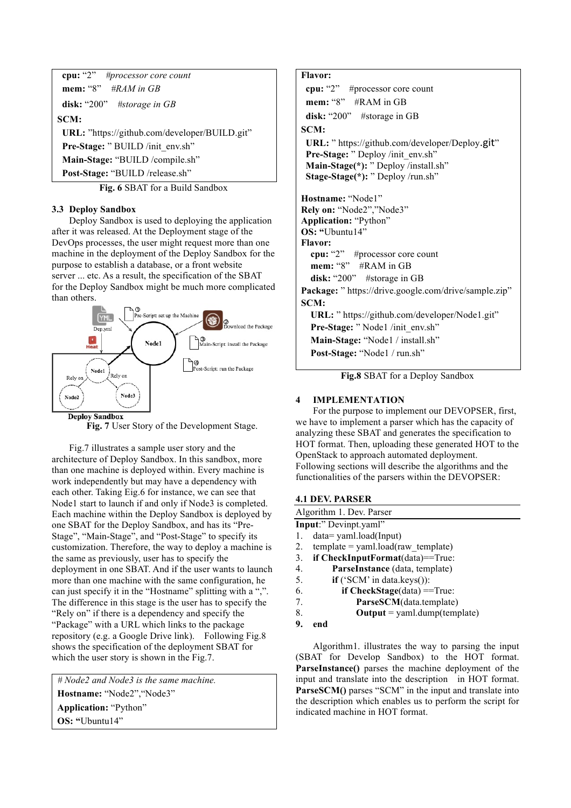| cpu: "2" #processor core count                |  |  |  |  |
|-----------------------------------------------|--|--|--|--|
| mem: "8" #RAM in GB                           |  |  |  |  |
| disk: "200" #storage in $GB$                  |  |  |  |  |
| SCM:                                          |  |  |  |  |
| URL: "https://github.com/developer/BUILD.git" |  |  |  |  |
| Pre-Stage: "BUILD /init env.sh"               |  |  |  |  |
| Main-Stage: "BUILD /compile.sh"               |  |  |  |  |
| Post-Stage: "BUILD /release.sh"               |  |  |  |  |

**Fig. 6** SBAT for a Build Sandbox

# **3.3 Deploy Sandbox**

Deploy Sandbox is used to deploying the application after it was released. At the Deployment stage of the DevOps processes, the user might request more than one machine in the deployment of the Deploy Sandbox for the purpose to establish a database, or a front website server ... etc. As a result, the specification of the SBAT for the Deploy Sandbox might be much more complicated than others.



**Fig. 7** User Story of the Development Stage.

Fig.7 illustrates a sample user story and the architecture of Deploy Sandbox. In this sandbox, more than one machine is deployed within. Every machine is work independently but may have a dependency with each other. Taking Eig.6 for instance, we can see that Node1 start to launch if and only if Node3 is completed. Each machine within the Deploy Sandbox is deployed by one SBAT for the Deploy Sandbox, and has its "Pre-Stage", "Main-Stage", and "Post-Stage" to specify its customization. Therefore, the way to deploy a machine is the same as previously, user has to specify the deployment in one SBAT. And if the user wants to launch more than one machine with the same configuration, he can just specify it in the "Hostname" splitting with a ",". The difference in this stage is the user has to specify the "Rely on" if there is a dependency and specify the "Package" with a URL which links to the package repository (e.g. a Google Drive link). Following Fig.8 shows the specification of the deployment SBAT for which the user story is shown in the Fig.7.

*# Node2 and Node3 is the same machine.* **Hostname:** "Node2","Node3" **Application:** "Python" **OS: "**Ubuntu14"

### **Flavor:**

**cpu:** "2" #processor core count **mem:** "8" #RAM in GB **disk:** "200" #storage in GB **SCM:**

**URL:** " https://github.com/developer/Deploy.git" **Pre-Stage:** " Deploy /init\_env.sh" Main-Stage(\*): <sup>"</sup> Deploy /install.sh" **Stage-Stage(\*):** " Deploy /run.sh"

**Hostname:** "Node1" **Rely on:** "Node2","Node3" **Application:** "Python" **OS: "**Ubuntu14" **Flavor: cpu:** "2" #processor core count  **mem:** "8" #RAM in GB  **disk:** "200" #storage in GB **Package:** " https://drive.google.com/drive/sample.zip" **SCM: URL:** " https://github.com/developer/Node1.git" Pre-Stage: "Node1 /init\_env.sh"  **Main-Stage:** "Node1 / install.sh"

 **Post-Stage:** "Node1 / run.sh"

**Fig.8** SBAT for a Deploy Sandbox

# **4 IMPLEMENTATION**

For the purpose to implement our DEVOPSER, first, we have to implement a parser which has the capacity of analyzing these SBAT and generates the specification to HOT format. Then, uploading these generated HOT to the OpenStack to approach automated deployment. Following sections will describe the algorithms and the functionalities of the parsers within the DEVOPSER:

# **4.1 DEV. PARSER**

| Algorithm 1. Dev. Parser                                                                                                   |  |  |  |  |
|----------------------------------------------------------------------------------------------------------------------------|--|--|--|--|
| <b>Input:</b> " Devinpt.yaml"                                                                                              |  |  |  |  |
| $data = \gamma$ aml.load(Input)<br>1.                                                                                      |  |  |  |  |
| 2.<br>$template = \text{yaml}.\text{load}(\text{raw template})$                                                            |  |  |  |  |
| 3.<br>if $\text{CheckInputFormat}(data) == \text{True}:$                                                                   |  |  |  |  |
| 4.<br>ParseInstance (data, template)                                                                                       |  |  |  |  |
| 5.<br>$if('SCM' in data.keys())$ :                                                                                         |  |  |  |  |
| 6.<br>if $CheckStage(data) == True$ :                                                                                      |  |  |  |  |
| 7.<br>ParseSCM(data.template)                                                                                              |  |  |  |  |
| 8.<br>$Output = \gamma$ aml.dump(template)                                                                                 |  |  |  |  |
| 9.<br>end                                                                                                                  |  |  |  |  |
|                                                                                                                            |  |  |  |  |
| Algorithm1. illustrates the way to parsing the input                                                                       |  |  |  |  |
| $(CDAT - f_{\alpha\alpha} - D_{\alpha\alpha}I_{\alpha\alpha} - G_{\alpha\alpha}I_{\alpha\alpha\alpha})$ to the HOT fearest |  |  |  |  |

(SBAT for Develop Sandbox) to the HOT format. **ParseInstance()** parses the machine deployment of the input and translate into the description in HOT format. **ParseSCM()** parses "SCM" in the input and translate into the description which enables us to perform the script for indicated machine in HOT format.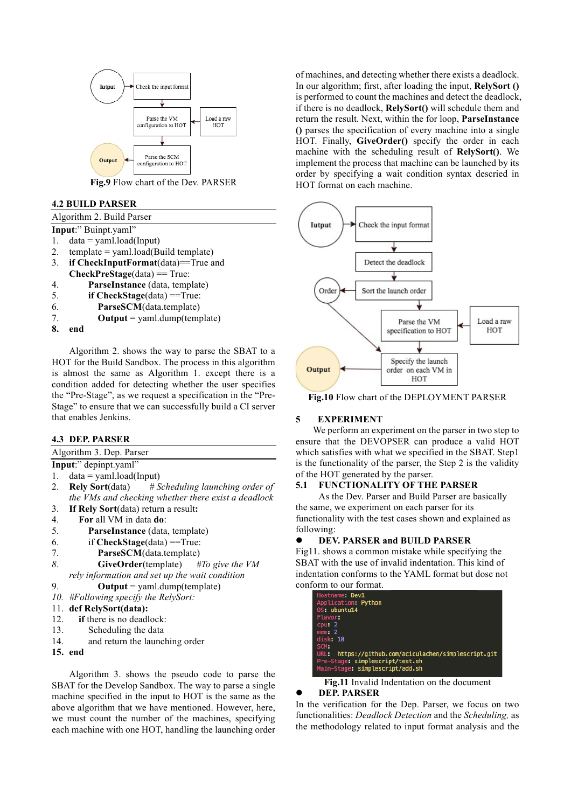

**Fig.9** Flow chart of the Dev. PARSER

# **4.2 BUILD PARSER**

### Algorithm 2. Build Parser

- **Input**:" Buinpt.yaml" 1.  $data = \text{vaml}.\text{load}(\text{Input})$
- 
- 2.  $template = \text{yaml}.\text{load}(\text{Build template})$ 3. **if CheckInputFormat**(data)==True and
- **CheckPreStage**(data) == True:
- 4. **ParseInstance** (data, template)
- 5. **if CheckStage**(data) ==True:
- 6. **ParseSCM**(data.template)
- 7.  $\mathbf{Output} = \text{vaml.dim}(t{emplate})$
- **8. end**

Algorithm 2. shows the way to parse the SBAT to a HOT for the Build Sandbox. The process in this algorithm is almost the same as Algorithm 1. except there is a condition added for detecting whether the user specifies the "Pre-Stage", as we request a specification in the "Pre-Stage" to ensure that we can successfully build a CI server that enables Jenkins.

# **4.3 DEP. PARSER**

Algorithm 3. Dep. Parser

- **Input**:" depinpt.yaml"
- 1.  $data =$  yaml.load(Input)
- 2. **Rely Sort**(data) *# Scheduling launching order of the VMs and checking whether there exist a deadlock*
- 3. **If Rely Sort**(data) return a result**:**
- 4. **For** all VM in data **do**:
- 5. **ParseInstance** (data, template)
- 6. if **CheckStage**(data) ==True:
- 7. **ParseSCM**(data.template)
- *8.* **GiveOrder**(template) *#To give the VM rely information and set up the wait condition*
- 9.  $\text{Output} = \text{vaml.dim}(t{emplate})$
- *10. #Following specify the RelySort:*

#### 11. **def RelySort(data):**

- 12. **if** there is no deadlock:
- 13. Scheduling the data
- 14. and return the launching order
- **15. end**

Algorithm 3. shows the pseudo code to parse the SBAT for the Develop Sandbox. The way to parse a single machine specified in the input to HOT is the same as the above algorithm that we have mentioned. However, here, we must count the number of the machines, specifying each machine with one HOT, handling the launching order

of machines, and detecting whether there exists a deadlock. In our algorithm; first, after loading the input, **RelySort ()** is performed to count the machines and detect the deadlock, if there is no deadlock, **RelySort()** will schedule them and return the result. Next, within the for loop, **ParseInstance ()** parses the specification of every machine into a single HOT. Finally, **GiveOrder()** specify the order in each machine with the scheduling result of **RelySort()**. We implement the process that machine can be launched by its order by specifying a wait condition syntax descried in HOT format on each machine.



**Fig.10** Flow chart of the DEPLOYMENT PARSER

# **5 EXPERIMENT**

We perform an experiment on the parser in two step to ensure that the DEVOPSER can produce a valid HOT which satisfies with what we specified in the SBAT. Step1 is the functionality of the parser, the Step 2 is the validity of the HOT generated by the parser.

# **5.1 FUNCTIONALITY OF THE PARSER**

As the Dev. Parser and Build Parser are basically the same, we experiment on each parser for its functionality with the test cases shown and explained as following:

# l **DEV. PARSER and BUILD PARSER**

Fig11. shows a common mistake while specifying the SBAT with the use of invalid indentation. This kind of indentation conforms to the YAML format but dose not conform to our format.

| Hostname: Dev1                                       |
|------------------------------------------------------|
| Application: Python                                  |
| OS: ubuntu14                                         |
| Flavor:                                              |
| $c_{\text{DU}}$ : 2                                  |
| mem: 2                                               |
| disk: 10                                             |
| SCM:                                                 |
| URL: https://qithub.com/aciculachen/simplescript.qit |
| Pre-Stage: simplescript/test.sh                      |
| Main-Stage: simplescript/add.sh                      |
|                                                      |

**Fig.11** Invalid Indentation on the document l **DEP. PARSER**

In the verification for the Dep. Parser, we focus on two functionalities: *Deadlock Detection* and the *Scheduling,* as the methodology related to input format analysis and the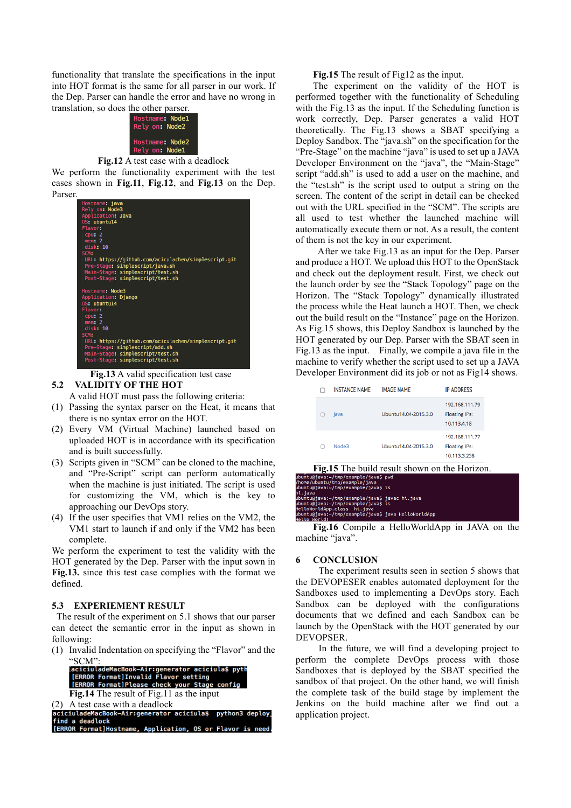functionality that translate the specifications in the input into HOT format is the same for all parser in our work. If the Dep. Parser can handle the error and have no wrong in translation, so does the other parser.

| Hostname: Node1<br>Rely on: Node2 |  |
|-----------------------------------|--|
| Hostname: Node2<br>Rely on: Node1 |  |

#### **Fig.12** A test case with a deadlock

We perform the functionality experiment with the test cases shown in **Fig.11**, **Fig.12**, and **Fig.13** on the Dep. Parser.



 **Fig.13** A valid specification test case

# **5.2 VALIDITY OF THE HOT**

A valid HOT must pass the following criteria:

- (1) Passing the syntax parser on the Heat, it means that there is no syntax error on the HOT.
- (2) Every VM (Virtual Machine) launched based on uploaded HOT is in accordance with its specification and is built successfully.
- (3) Scripts given in "SCM" can be cloned to the machine, and "Pre-Script" script can perform automatically when the machine is just initiated. The script is used for customizing the VM, which is the key to approaching our DevOps story.
- (4) If the user specifies that VM1 relies on the VM2, the VM1 start to launch if and only if the VM2 has been complete.

We perform the experiment to test the validity with the HOT generated by the Dep. Parser with the input sown in **Fig.13.** since this test case complies with the format we defined.

#### **5.3 EXPERIEMENT RESULT**

The result of the experiment on 5.1 shows that our parser can detect the semantic error in the input as shown in following:

(1) Invalid Indentation on specifying the "Flavor" and the



| $(2)$ A test case with a deadlock                         |  |
|-----------------------------------------------------------|--|
| aciciuladeMacBook-Air:generator aciciula\$ python3 deploy |  |
| find a deadlock                                           |  |
| [ERROR Format]Hostname, Application, OS or Flavor is need |  |

#### **Fig.15** The result of Fig12 as the input.

The experiment on the validity of the HOT is performed together with the functionality of Scheduling with the Fig.13 as the input. If the Scheduling function is work correctly, Dep. Parser generates a valid HOT theoretically. The Fig.13 shows a SBAT specifying a Deploy Sandbox. The "java.sh" on the specification for the "Pre-Stage" on the machine "java" is used to set up a JAVA Developer Environment on the "java", the "Main-Stage" script "add.sh" is used to add a user on the machine, and the "test.sh" is the script used to output a string on the screen. The content of the script in detail can be checked out with the URL specified in the "SCM". The scripts are all used to test whether the launched machine will automatically execute them or not. As a result, the content of them is not the key in our experiment.

After we take Fig.13 as an input for the Dep. Parser and produce a HOT. We upload this HOT to the OpenStack and check out the deployment result. First, we check out the launch order by see the "Stack Topology" page on the Horizon. The "Stack Topology" dynamically illustrated the process while the Heat launch a HOT. Then, we check out the build result on the "Instance" page on the Horizon. As Fig.15 shows, this Deploy Sandbox is launched by the HOT generated by our Dep. Parser with the SBAT seen in Fig.13 as the input. Finally, we compile a java file in the machine to verify whether the script used to set up a JAVA Developer Environment did its job or not as Fig14 shows.

|   | <b>INSTANCE NAME</b> | <b>IMAGE NAME</b>    | <b>IP ADDRESS</b>                                      |
|---|----------------------|----------------------|--------------------------------------------------------|
| o | iava                 | Ubuntu14.04-2015.3.0 | 192.168.111.79<br><b>Floating IPs:</b><br>10.113.4.18  |
|   | <b>Node3</b>         | Ubuntu14.04-2015.3.0 | 192.168.111.77<br><b>Floating IPs:</b><br>10.113.3.238 |

**Fig.15** The build result shown on the Horizon.

| buntu@iava:~/tmp/example/iavaS_pwd                 |  |
|----------------------------------------------------|--|
| home/ubuntu/tmp/example/java                       |  |
| buntu@java:~/tmp/example/java\$ ls                 |  |
| i.java                                             |  |
| buntu@java:~/tmp/example/java\$ javac hi.java      |  |
| buntu@java:~/tmp/example/java\$ ls                 |  |
| elloWorldApp.class hi.java                         |  |
| buntu@java:~/tmp/example/java\$ java HelloWorldApp |  |
|                                                    |  |

**Fig.16** Compile a HelloWorldApp in JAVA on the machine "java".

#### **6 CONCLUSION**

The experiment results seen in section 5 shows that the DEVOPESER enables automated deployment for the Sandboxes used to implementing a DevOps story. Each Sandbox can be deployed with the configurations documents that we defined and each Sandbox can be launch by the OpenStack with the HOT generated by our DEVOPSER.

In the future, we will find a developing project to perform the complete DevOps process with those Sandboxes that is deployed by the SBAT specified the sandbox of that project. On the other hand, we will finish the complete task of the build stage by implement the Jenkins on the build machine after we find out a application project.